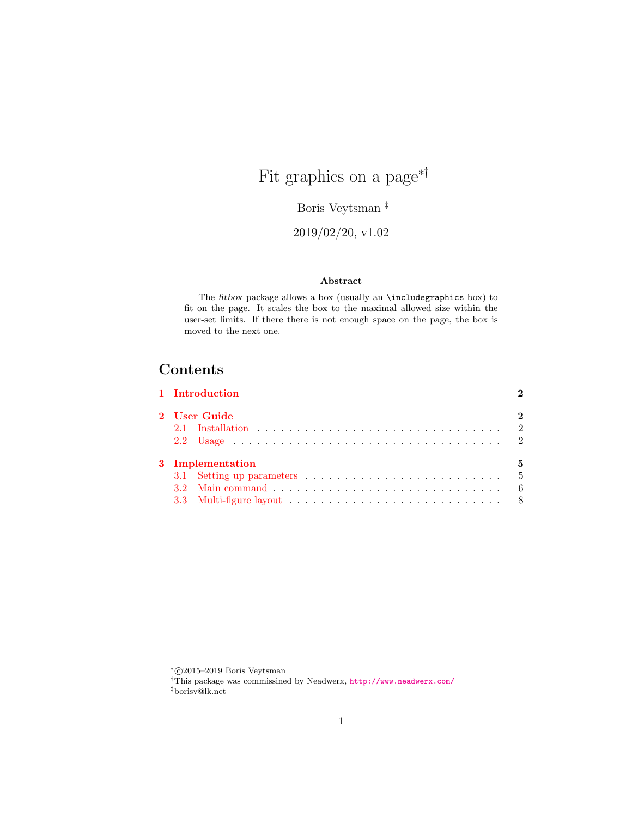# Fit graphics on a page<sup>\*†</sup>

Boris Veytsman ‡

2019/02/20, v1.02

#### Abstract

The fitbox package allows a box (usually an \includegraphics box) to fit on the page. It scales the box to the maximal allowed size within the user-set limits. If there there is not enough space on the page, the box is moved to the next one.

## Contents

|  | 2                                                  |
|--|----------------------------------------------------|
|  |                                                    |
|  |                                                    |
|  | 5                                                  |
|  |                                                    |
|  |                                                    |
|  |                                                    |
|  | 1 Introduction<br>2 User Guide<br>3 Implementation |

<sup>∗</sup> c 2015–2019 Boris Veytsman

<sup>†</sup>This package was commissined by Neadwerx, <http://www.neadwerx.com/>

<sup>‡</sup>borisv@lk.net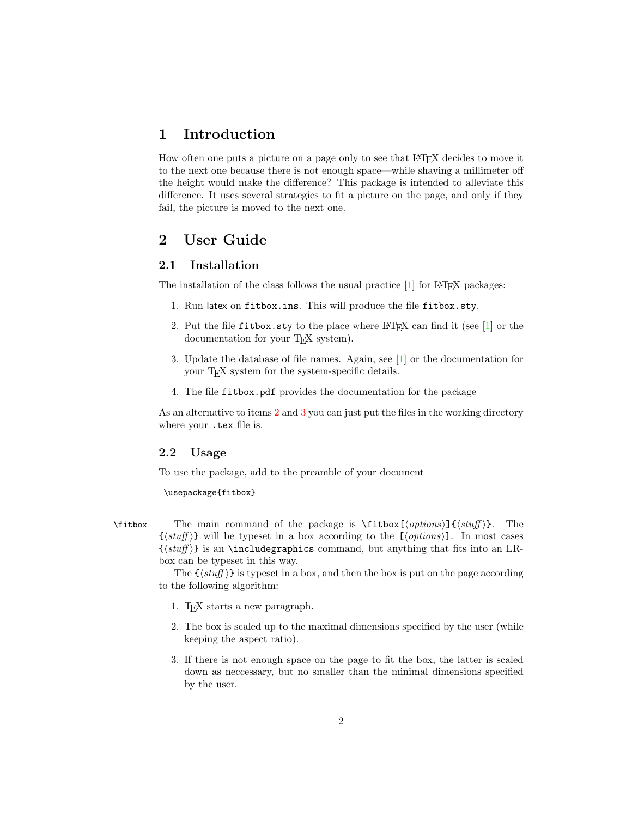### <span id="page-1-0"></span>1 Introduction

How often one puts a picture on a page only to see that LATEX decides to move it to the next one because there is not enough space—while shaving a millimeter off the height would make the difference? This package is intended to alleviate this difference. It uses several strategies to fit a picture on the page, and only if they fail, the picture is moved to the next one.

### <span id="page-1-1"></span>2 User Guide

#### <span id="page-1-2"></span>2.1 Installation

The installation of the class follows the usual practice  $[1]$  for L<sup>AT</sup>EX packages:

- 1. Run latex on fitbox.ins. This will produce the file fitbox.sty.
- <span id="page-1-4"></span>2. Put the file fitbox.sty to the place where LATEX can find it (see [\[1\]](#page-8-0) or the documentation for your T<sub>E</sub>X system).
- <span id="page-1-5"></span>3. Update the database of file names. Again, see [\[1\]](#page-8-0) or the documentation for your T<sub>F</sub>X system for the system-specific details.
- 4. The file fitbox.pdf provides the documentation for the package

As an alternative to items [2](#page-1-4) and [3](#page-1-5) you can just put the files in the working directory where your .tex file is.

#### <span id="page-1-3"></span>2.2 Usage

To use the package, add to the preamble of your document

<span id="page-1-6"></span>\usepackage{fitbox}

\fitbox The main command of the package is \fitbox  $[\langle options \rangle]\{\langle stuff \rangle\}$ . The  $\{\langle \mathit{stuff} \rangle\}$  will be typeset in a box according to the  $[\langle \mathit{options} \rangle]$ . In most cases  $\{\langle stuff\rangle\}$  is an \includegraphics command, but anything that fits into an LRbox can be typeset in this way.

> The  $\{\langle \mathit{stuff} \rangle\}$  is typeset in a box, and then the box is put on the page according to the following algorithm:

- 1. TEX starts a new paragraph.
- 2. The box is scaled up to the maximal dimensions specified by the user (while keeping the aspect ratio).
- 3. If there is not enough space on the page to fit the box, the latter is scaled down as neccessary, but no smaller than the minimal dimensions specified by the user.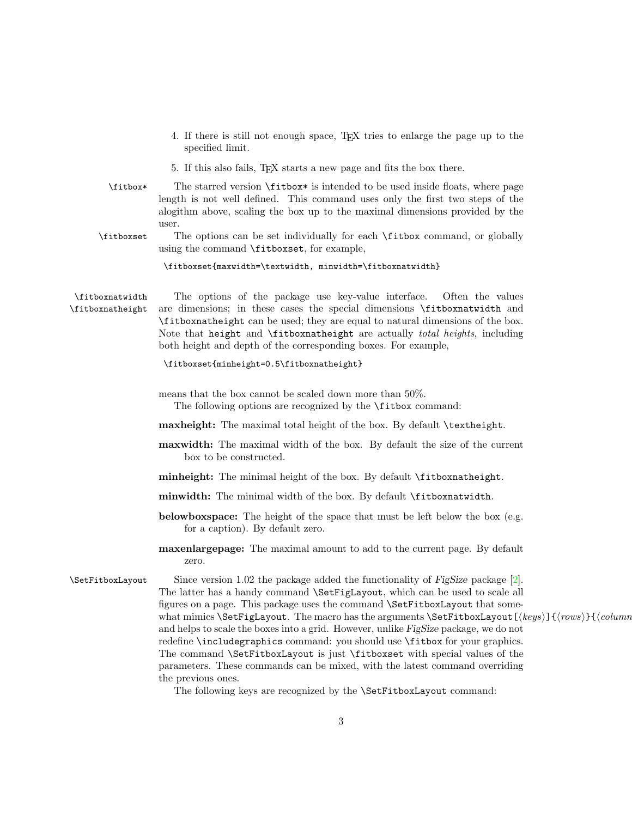- 4. If there is still not enough space, TEX tries to enlarge the page up to the specified limit.
- <span id="page-2-0"></span>5. If this also fails, TEX starts a new page and fits the box there.
- \fitbox\* The starred version \fitbox\* is intended to be used inside floats, where page length is not well defined. This command uses only the first two steps of the alogithm above, scaling the box up to the maximal dimensions provided by the user.
- \fitboxset The options can be set individually for each \fitbox command, or globally using the command \fitboxset, for example,

<span id="page-2-2"></span><span id="page-2-1"></span>\fitboxset{maxwidth=\textwidth, minwidth=\fitboxnatwidth}

\fitboxnatwidth The options of the package use key-value interface. Often the values \fitboxnatheight are dimensions; in these cases the special dimensions \fitboxnatwidth and \fitboxnatheight can be used; they are equal to natural dimensions of the box. Note that height and \fitboxnatheight are actually *total heights*, including both height and depth of the corresponding boxes. For example,

#### \fitboxset{minheight=0.5\fitboxnatheight}

- means that the box cannot be scaled down more than 50%. The following options are recognized by the **\fitbox** command:
- maxheight: The maximal total height of the box. By default \textheight.
- maxwidth: The maximal width of the box. By default the size of the current box to be constructed.
- minheight: The minimal height of the box. By default \fitboxnatheight.
- minwidth: The minimal width of the box. By default \fitboxnatwidth.
- belowboxspace: The height of the space that must be left below the box (e.g. for a caption). By default zero.
- <span id="page-2-3"></span>maxenlargepage: The maximal amount to add to the current page. By default zero.

 $\Set{\text{SetFitboxLayout}}$  Since version 1.02 the package added the functionality of FigSize package [\[2\]](#page-8-1). The latter has a handy command \SetFigLayout, which can be used to scale all figures on a page. This package uses the command \SetFitboxLayout that somewhat mimics \SetFigLayout. The macro has the arguments \SetFitboxLayout  $[\langle keys \rangle]{\langle rows \rangle}$ { $\langle columns \rangle$ } and helps to scale the boxes into a grid. However, unlike FigSize package, we do not redefine \includegraphics command: you should use \fitbox for your graphics. The command \SetFitboxLayout is just \fitboxset with special values of the parameters. These commands can be mixed, with the latest command overriding the previous ones.

The following keys are recognized by the \SetFitboxLayout command: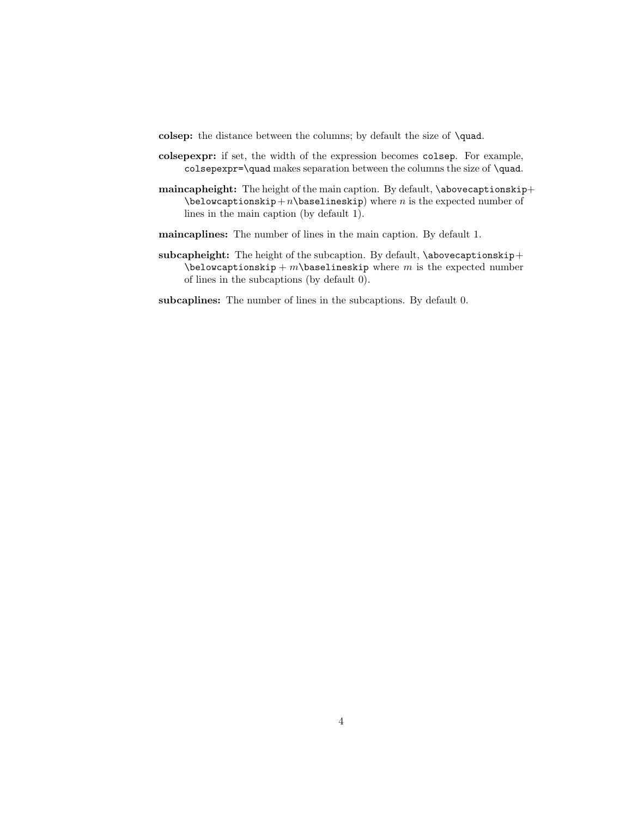- colsep: the distance between the columns; by default the size of \quad.
- colsepexpr: if set, the width of the expression becomes colsep. For example, colsepexpr=\quad makes separation between the columns the size of \quad.
- maincapheight: The height of the main caption. By default, \abovecaptionskip+  $\begin{array}{c}$  \belowcaptionskip + n \baselineskip) where n is the expected number of lines in the main caption (by default 1).
- maincaplines: The number of lines in the main caption. By default 1.
- subcapheight: The height of the subcaption. By default, \abovecaptionskip+  $\be$ lowcaptionskip + m $\baselineskip$  where m is the expected number of lines in the subcaptions (by default 0).
- subcaplines: The number of lines in the subcaptions. By default 0.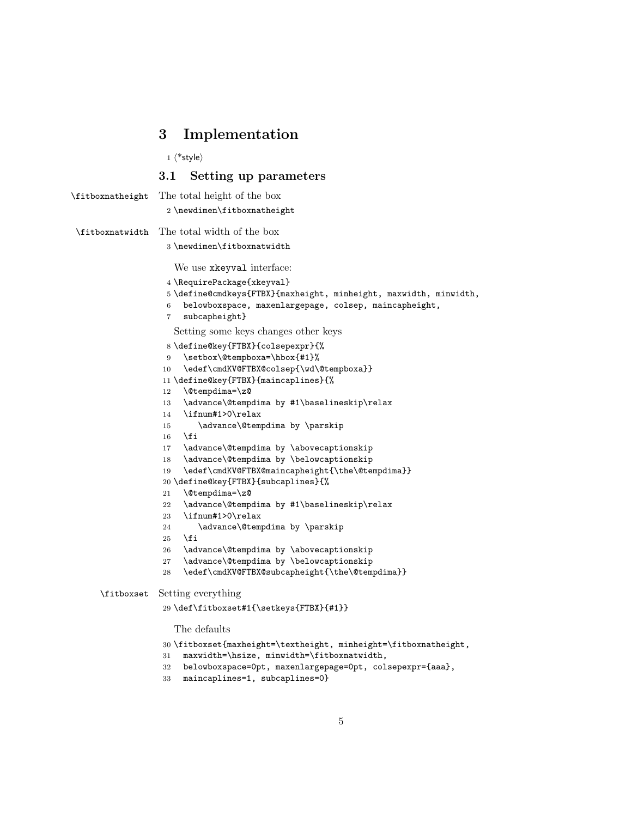#### <span id="page-4-2"></span><span id="page-4-0"></span>3 Implementation

 $\langle$ \*style $\rangle$ 

#### <span id="page-4-33"></span><span id="page-4-32"></span><span id="page-4-31"></span><span id="page-4-29"></span><span id="page-4-20"></span><span id="page-4-19"></span><span id="page-4-18"></span><span id="page-4-6"></span><span id="page-4-5"></span><span id="page-4-4"></span><span id="page-4-3"></span><span id="page-4-1"></span>3.1 Setting up parameters

```
\fitboxnatheight The total height of the box
                   2 \newdimen\fitboxnatheight
\fitboxnatwidth The total width of the box
                   3 \newdimen\fitboxnatwidth
                     We use xkeyval interface:
                   4 \RequirePackage{xkeyval}
                   5 \define@cmdkeys{FTBX}{maxheight, minheight, maxwidth, minwidth,
                   6 belowboxspace, maxenlargepage, colsep, maincapheight,
                   7 subcapheight}
                     Setting some keys changes other keys
                   8 \define@key{FTBX}{colsepexpr}{%
                   9 \setbox\@tempboxa=\hbox{#1}%
                  10 \edef\cmdKV@FTBX@colsep{\wd\@tempboxa}}
                  11 \define@key{FTBX}{maincaplines}{%
                  12 \@tempdima=\z@
                  13 \advance\@tempdima by #1\baselineskip\relax
                  14 \ifnum#1>0\relax
                  15 \advance\@tempdima by \parskip
                  16 \fi
                  17 \advance\@tempdima by \abovecaptionskip
                  18 \advance\@tempdima by \belowcaptionskip
                  19 \edef\cmdKV@FTBX@maincapheight{\the\@tempdima}}
                  20 \define@key{FTBX}{subcaplines}{%
                  21 \@tempdima=\z@
                  22 \advance\@tempdima by #1\baselineskip\relax
                  23 \ifnum#1>0\relax
                  24 \advance\@tempdima by \parskip
                  25 \overline{1}26 \advance\@tempdima by \abovecaptionskip
                  27 \advance\@tempdima by \belowcaptionskip
                  28 \edef\cmdKV@FTBX@subcapheight{\the\@tempdima}}
     \fitboxset Setting everything
                  29 \def\fitboxset#1{\setkeys{FTBX}{#1}}
                     The defaults
                  30 \fitboxset{maxheight=\textheight, minheight=\fitboxnatheight,
                  31 maxwidth=\hsize, minwidth=\fitboxnatwidth,
```
- <span id="page-4-30"></span><span id="page-4-28"></span><span id="page-4-27"></span><span id="page-4-25"></span><span id="page-4-23"></span><span id="page-4-22"></span><span id="page-4-21"></span><span id="page-4-17"></span><span id="page-4-16"></span><span id="page-4-15"></span><span id="page-4-14"></span><span id="page-4-13"></span><span id="page-4-12"></span><span id="page-4-11"></span><span id="page-4-10"></span><span id="page-4-9"></span><span id="page-4-8"></span><span id="page-4-7"></span>belowboxspace=0pt, maxenlargepage=0pt, colsepexpr={aaa},
- maincaplines=1, subcaplines=0}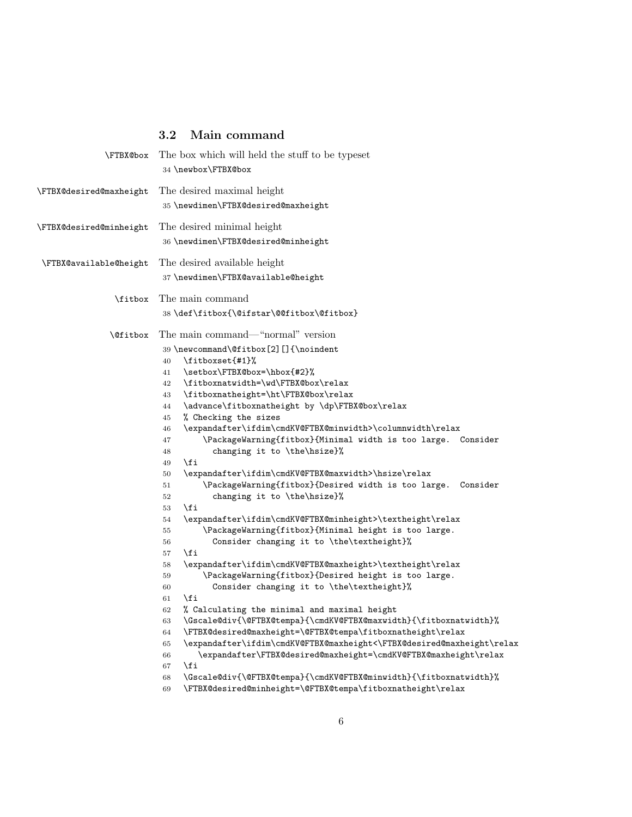## <span id="page-5-36"></span><span id="page-5-35"></span><span id="page-5-34"></span><span id="page-5-33"></span><span id="page-5-32"></span><span id="page-5-31"></span><span id="page-5-29"></span><span id="page-5-26"></span><span id="page-5-25"></span><span id="page-5-23"></span><span id="page-5-22"></span><span id="page-5-21"></span><span id="page-5-15"></span><span id="page-5-14"></span><span id="page-5-8"></span><span id="page-5-2"></span><span id="page-5-1"></span><span id="page-5-0"></span>3.2 Main command

<span id="page-5-41"></span><span id="page-5-40"></span><span id="page-5-39"></span><span id="page-5-38"></span><span id="page-5-37"></span><span id="page-5-30"></span><span id="page-5-28"></span><span id="page-5-27"></span><span id="page-5-24"></span><span id="page-5-20"></span><span id="page-5-19"></span><span id="page-5-18"></span><span id="page-5-17"></span><span id="page-5-16"></span><span id="page-5-13"></span><span id="page-5-12"></span><span id="page-5-11"></span><span id="page-5-10"></span><span id="page-5-9"></span><span id="page-5-7"></span><span id="page-5-6"></span><span id="page-5-5"></span><span id="page-5-4"></span><span id="page-5-3"></span>

|                         | <b>\FTBX@box</b> The box which will held the stuff to be typeset<br>34 \newbox\FTBX@box |
|-------------------------|-----------------------------------------------------------------------------------------|
| \FTBX@desired@maxheight | The desired maximal height<br>35 \newdimen\FTBX@desired@maxheight                       |
| \FTBX@desired@minheight | The desired minimal height                                                              |
|                         | 36 \newdimen\FTBX@desired@minheight                                                     |
| \FTBX@available@height  | The desired available height                                                            |
|                         | 37 \newdimen\FTBX@available@height                                                      |
| \fitbox                 | The main command                                                                        |
|                         | 38 \def\fitbox{\@ifstar\@@fitbox\@fitbox}                                               |
| <b>\@fitbox</b>         | The main command—"normal" version                                                       |
|                         | 39 \newcommand\@fitbox[2][]{\noindent                                                   |
|                         | \fitboxset{#1}%<br>40                                                                   |
|                         | \setbox\FTBX@box=\hbox{#2}%<br>41                                                       |
|                         | \fitboxnatwidth=\wd\FTBX@box\relax<br>42                                                |
|                         | \fitboxnatheight=\ht\FTBX@box\relax<br>43                                               |
|                         | \advance\fitboxnatheight by \dp\FTBX@box\relax<br>44                                    |
|                         | % Checking the sizes<br>45                                                              |
|                         | \expandafter\ifdim\cmdKV@FTBX@minwidth>\columnwidth\relax<br>46                         |
|                         | \PackageWarning{fitbox}{Minimal width is too large. Consider<br>47                      |
|                         | changing it to \the\hsize}%<br>48                                                       |
|                         | \fi<br>49                                                                               |
|                         | \expandafter\ifdim\cmdKV@FTBX@maxwidth>\hsize\relax<br>50                               |
|                         | \PackageWarning{fitbox}{Desired width is too large.<br>Consider<br>51                   |
|                         | changing it to \the\hsize}%<br>52                                                       |
|                         | \fi<br>53                                                                               |
|                         | \expandafter\ifdim\cmdKV@FTBX@minheight>\textheight\relax<br>54                         |
|                         | \PackageWarning{fitbox}{Minimal height is too large.<br>55                              |
|                         | Consider changing it to \the\textheight}%<br>56                                         |
|                         | \fi<br>57                                                                               |
|                         | \expandafter\ifdim\cmdKV@FTBX@maxheight>\textheight\relax<br>58                         |
|                         | \PackageWarning{fitbox}{Desired height is too large.<br>59                              |
|                         | Consider changing it to \the\textheight}%<br>60                                         |
|                         | \fi<br>61                                                                               |
|                         | % Calculating the minimal and maximal height<br>62                                      |
|                         | \Gscale@div{\@FTBX@tempa}{\cmdKV@FTBX@maxwidth}{\fitboxnatwidth}%<br>63                 |
|                         | \FTBX@desired@maxheight=\@FTBX@tempa\fitboxnatheight\relax<br>64                        |
|                         | \expandafter\ifdim\cmdKV@FTBX@maxheight<\FTBX@desired@maxheight\relax<br>65             |
|                         | \expandafter\FTBX@desired@maxheight=\cmdKV@FTBX@maxheight\relax<br>66                   |
|                         | \fi<br>67                                                                               |
|                         | \Gscale@div{\@FTBX@tempa}{\cmdKV@FTBX@minwidth}{\fitboxnatwidth}%<br>68                 |
|                         | \FTBX@desired@minheight=\@FTBX@tempa\fitboxnatheight\relax<br>69                        |
|                         |                                                                                         |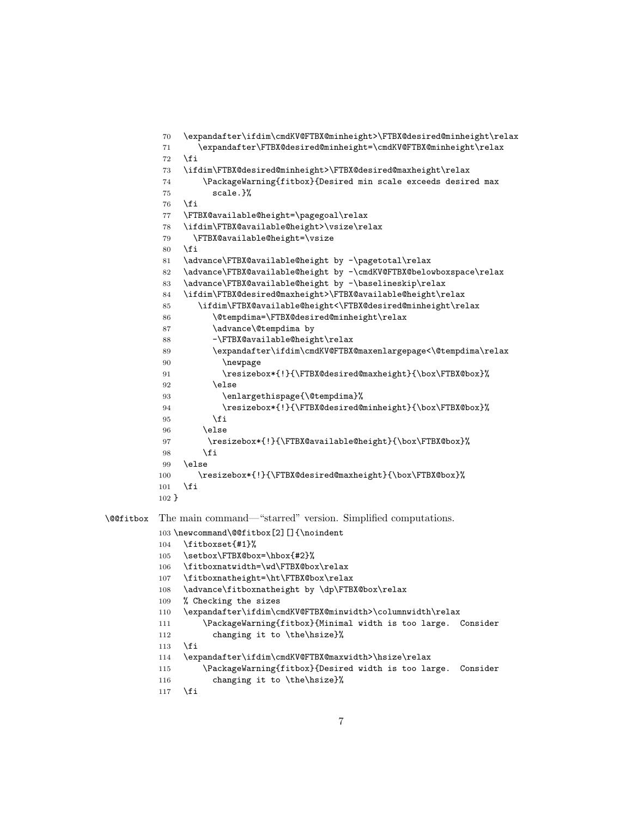```
70 \expandafter\ifdim\cmdKV@FTBX@minheight>\FTBX@desired@minheight\relax
          71 \expandafter\FTBX@desired@minheight=\cmdKV@FTBX@minheight\relax
          72 \sqrt{fi}73 \ifdim\FTBX@desired@minheight>\FTBX@desired@maxheight\relax
          74 \PackageWarning{fitbox}{Desired min scale exceeds desired max
          75 scale.}%
          76 \fi
          77 \FTBX@available@height=\pagegoal\relax
          78 \ifdim\FTBX@available@height>\vsize\relax
          79 \FTBX@available@height=\vsize
          80 \foralli
          81 \advance\FTBX@available@height by -\pagetotal\relax
          82 \advance\FTBX@available@height by -\cmdKV@FTBX@belowboxspace\relax
          83 \advance\FTBX@available@height by -\baselineskip\relax
          84 \ifdim\FTBX@desired@maxheight>\FTBX@available@height\relax
          85 \ifdim\FTBX@available@height<\FTBX@desired@minheight\relax
          86 \@tempdima=\FTBX@desired@minheight\relax
          87 \advance\@tempdima by
          88 -\FTBX@available@height\relax
          89 \expandafter\ifdim\cmdKV@FTBX@maxenlargepage<\@tempdima\relax
          90 \newpage
          91 \resizebox*{!}{\FTBX@desired@maxheight}{\box\FTBX@box}%
          92 \qquad \text{lelesc}93 \enlargethispage{\@tempdima}%
          94 \resizebox*{!}{\FTBX@desired@minheight}{\box\FTBX@box}%
          95 \fi
          96 \else
          97 \resizebox*{!}{\FTBX@available@height}{\box\FTBX@box}%
          98 \fi
          99 \text{ kg}100 \resizebox*{!}{\FTBX@desired@maxheight}{\box\FTBX@box}%
          101 \fi
          102 }
\@@fitbox The main command—"starred" version. Simplified computations.
          103 \newcommand\@@fitbox[2][]{\noindent
          104 \fitboxset{#1}%
          105 \setbox\FTBX@box=\hbox{#2}%
          106 \fitboxnatwidth=\wd\FTBX@box\relax
          107 \fitboxnatheight=\ht\FTBX@box\relax
          108 \advance\fitboxnatheight by \dp\FTBX@box\relax
          109 % Checking the sizes
          110 \expandafter\ifdim\cmdKV@FTBX@minwidth>\columnwidth\relax
          111 \PackageWarning{fitbox}{Minimal width is too large. Consider
          112 changing it to \the\hsize}%
          113 \fi
          114 \expandafter\ifdim\cmdKV@FTBX@maxwidth>\hsize\relax
          115 \PackageWarning{fitbox}{Desired width is too large. Consider
          116 changing it to \the\hsize}%
          117 \fi
```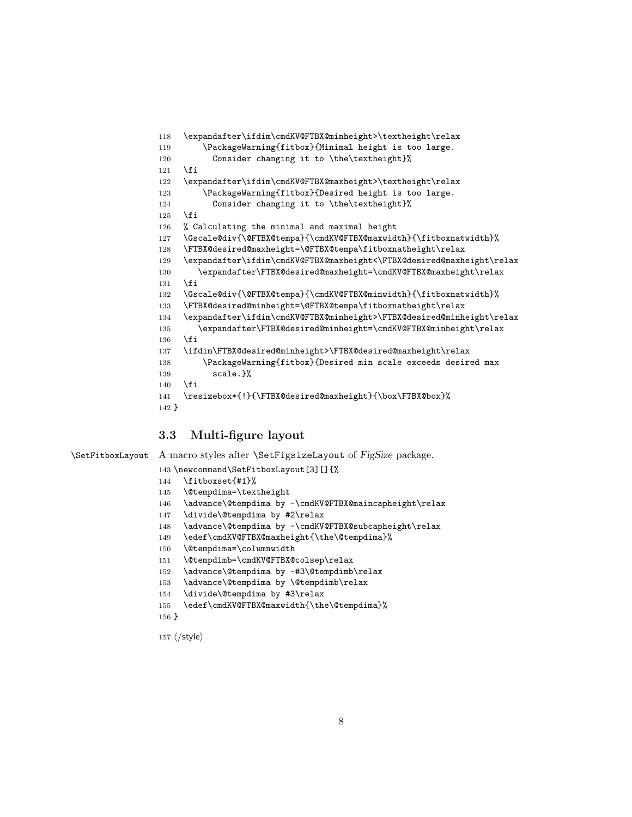```
118 \expandafter\ifdim\cmdKV@FTBX@minheight>\textheight\relax
119 \PackageWarning{fitbox}{Minimal height is too large.
120 Consider changing it to \the\textheight}%
121 \fi
122 \expandafter\ifdim\cmdKV@FTBX@maxheight>\textheight\relax
123 \PackageWarning{fitbox}{Desired height is too large.
124 Consider changing it to \the\textheight}%
125 \fi
126 % Calculating the minimal and maximal height
127 \Gscale@div{\@FTBX@tempa}{\cmdKV@FTBX@maxwidth}{\fitboxnatwidth}%
128 \FTBX@desired@maxheight=\@FTBX@tempa\fitboxnatheight\relax
129 \expandafter\ifdim\cmdKV@FTBX@maxheight<\FTBX@desired@maxheight\relax
130 \expandafter\FTBX@desired@maxheight=\cmdKV@FTBX@maxheight\relax
131 \fi
132 \Gscale@div{\@FTBX@tempa}{\cmdKV@FTBX@minwidth}{\fitboxnatwidth}%
133 \FTBX@desired@minheight=\@FTBX@tempa\fitboxnatheight\relax
134 \expandafter\ifdim\cmdKV@FTBX@minheight>\FTBX@desired@minheight\relax
135 \expandafter\FTBX@desired@minheight=\cmdKV@FTBX@minheight\relax
136 \fi
137 \ifdim\FTBX@desired@minheight>\FTBX@desired@maxheight\relax
138 \PackageWarning{fitbox}{Desired min scale exceeds desired max
139 scale.}%
140 \quad \text{If}141 \resizebox*{!}{\FTBX@desired@maxheight}{\box\FTBX@box}%
142 }
```
#### <span id="page-7-34"></span><span id="page-7-30"></span><span id="page-7-28"></span><span id="page-7-27"></span><span id="page-7-23"></span><span id="page-7-22"></span><span id="page-7-17"></span><span id="page-7-5"></span><span id="page-7-4"></span><span id="page-7-0"></span>3.3 Multi-figure layout

<span id="page-7-35"></span>\SetFitboxLayout A macro styles after \SetFigsizeLayout of FigSize package.

<span id="page-7-31"></span>\newcommand\SetFitboxLayout[3][]{%

```
144 \fitboxset{#1}%
145 \@tempdima=\textheight
146 \advance\@tempdima by -\cmdKV@FTBX@maincapheight\relax
147 \divide\@tempdima by #2\relax
148 \advance\@tempdima by -\cmdKV@FTBX@subcapheight\relax
149 \edef\cmdKV@FTBX@maxheight{\the\@tempdima}%
150 \@tempdima=\columnwidth
151 \@tempdimb=\cmdKV@FTBX@colsep\relax
```
- <span id="page-7-16"></span><span id="page-7-12"></span><span id="page-7-11"></span><span id="page-7-10"></span>152 \advance\@tempdima by -#3\@tempdimb\relax
- <span id="page-7-13"></span>153 \advance\@tempdima by \@tempdimb\relax
- <span id="page-7-14"></span>\divide\@tempdima by #3\relax
- <span id="page-7-15"></span>\edef\cmdKV@FTBX@maxwidth{\the\@tempdima}%
- }

157  $\langle$ /style $\rangle$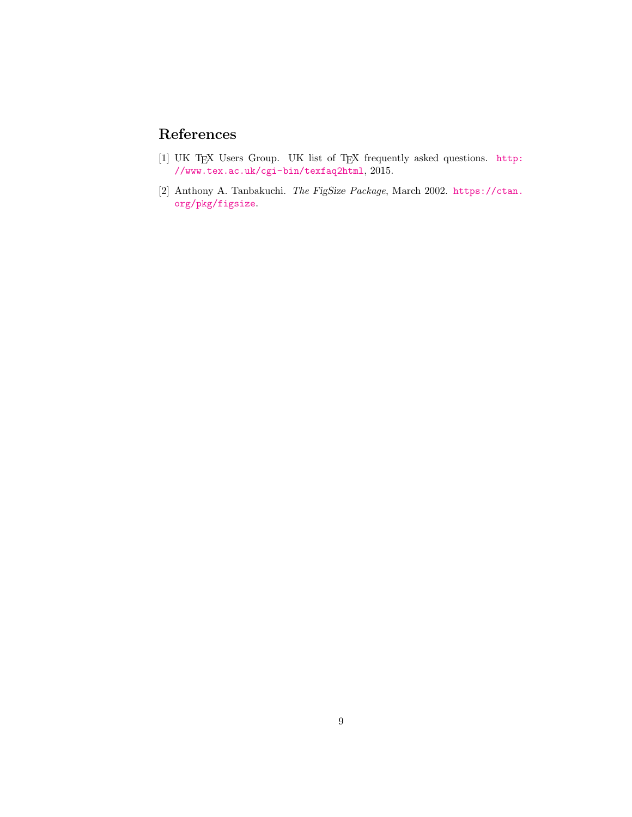# References

- <span id="page-8-0"></span>[1] UK TEX Users Group. UK list of TEX frequently asked questions. [http:](http://www.tex.ac.uk/cgi-bin/texfaq2html) [//www.tex.ac.uk/cgi-bin/texfaq2html](http://www.tex.ac.uk/cgi-bin/texfaq2html), 2015.
- <span id="page-8-1"></span>[2] Anthony A. Tanbakuchi. The FigSize Package, March 2002. [https://ctan.](https://ctan.org/pkg/figsize) [org/pkg/figsize](https://ctan.org/pkg/figsize).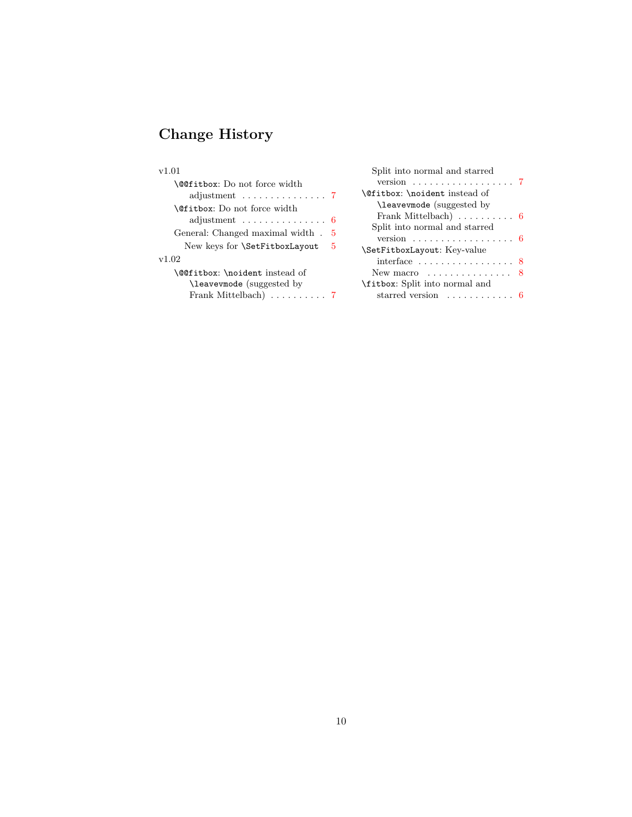# Change History

## v1.01

| <b>\@@fitbox:</b> Do not force width<br>adjustment $\ldots \ldots \ldots \ldots 7$ |  |
|------------------------------------------------------------------------------------|--|
| <b>\@fitbox:</b> Do not force width                                                |  |
| adjustment $\ldots \ldots \ldots \ldots 6$                                         |  |
| General: Changed maximal width . 5                                                 |  |
| New keys for $\Set{SetFitboxLayout} 5$                                             |  |
| v1.02                                                                              |  |
| \@@fitbox:\noident instead of                                                      |  |
| (suggested by)                                                                     |  |
| Frank Mittelbach) $\ldots \ldots \ldots$ 7                                         |  |
|                                                                                    |  |

| Split into normal and starred              |  |
|--------------------------------------------|--|
|                                            |  |
| <b>\@fitbox: \noident instead of</b>       |  |
| \leavevmode (suggested by                  |  |
| Frank Mittelbach) $\ldots \ldots \ldots 6$ |  |
| Split into normal and starred              |  |
| version 6                                  |  |
| \SetFitboxLayout: Key-value                |  |
| interface $\dots\dots\dots\dots\dots$ 8    |  |
| New macro $\dots\dots\dots\dots\dots$ 8    |  |
| \fitbox: Split into normal and             |  |
| starred version                            |  |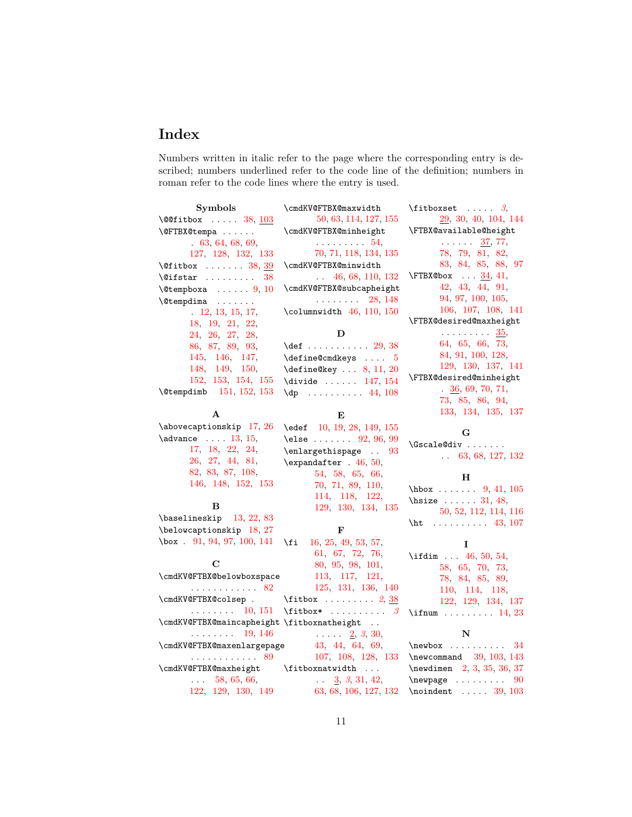# Index

Numbers written in italic refer to the page where the corresponding entry is described; numbers underlined refer to the code line of the definition; numbers in roman refer to the code lines where the entry is used.

| <b>Symbols</b>                                        | \cmdKV@FTBX@maxwidth                                                          | $\text{ifitboxset} \dots \quad 3,$       |
|-------------------------------------------------------|-------------------------------------------------------------------------------|------------------------------------------|
| $\sqrt{QC}$ itbox  38, 103                            | 50, 63, 114, 127, 155                                                         | 29, 30, 40, 104, 144                     |
| \@FTBX@tempa                                          | \cmdKV@FTBX@minheight                                                         | \FTBX@available@height                   |
| 63, 64, 68, 69,                                       | $\ldots \ldots \ldots 54$                                                     | $\ldots \ldots \frac{37}{77}$            |
| 127, 128, 132, 133                                    | 70, 71, 118, 134, 135                                                         | 78, 79, 81, 82,                          |
| $\left\{\text{Cifibox}\dots\dots\quad 38, 39\right\}$ | \cmdKV@FTBX@minwidth                                                          | 83, 84, 85, 88, 97                       |
| $\left\{ \text{Cifstar} \dots \dots \right\}$<br>38   | $\ldots$ 46, 68, 110, 132                                                     | $\Gamma$ $34, 41,$                       |
| $\text{Cetempboxa} \ldots 9, 10$                      | \cmdKV@FTBX@subcapheight                                                      | 42, 43, 44, 91,                          |
| $\{\mathcal{O}$ tempdima                              | . 28, 148                                                                     | 94, 97, 100, 105,                        |
| 12, 13, 15, 17,                                       | $\mathcal{L}$ olumnwidth 46, 110, 150                                         | 106, 107, 108, 141                       |
| 18, 19, 21, 22,                                       |                                                                               | \FTBX@desired@maxheight                  |
| 24, 26, 27, 28,                                       | D                                                                             | $\ldots \ldots \ldots 35$                |
| 86, 87, 89, 93,                                       | $\text{def}$ 29, 38                                                           | 64, 65, 66, 73,                          |
| 145, 146, 147,                                        | $\define@cmdkeys \dots 5$                                                     | 84, 91, 100, 128,                        |
| 148, 149, 150,                                        | $\define@key \dots 8, 11, 20$                                                 | 129, 130, 137, 141                       |
| 152, 153, 154, 155                                    | $\ldots$ . 147, 154                                                           | \FTBX@desired@minheight                  |
| $\text{Utempdim}$ 151, 152, 153                       | $\{dp \dots \dots \dots 44, 108\}$                                            | $\frac{36}{5}, 69, 70, 71,$              |
|                                                       |                                                                               | 73, 85, 86, 94,                          |
| $\mathbf{A}$                                          | Е                                                                             | 133, 134, 135, 137                       |
| \abovecaptionskip 17, 26                              | \edef 10, 19, 28, 149, 155                                                    |                                          |
| $\lambda$ ) advance $\ldots$ 13, 15,                  | \else $92, 96, 99$                                                            | G                                        |
| 17, 18, 22, 24,                                       | \enlargethispage  93                                                          | \Gscale@div<br>$\ldots$ 63, 68, 127, 132 |
| 26, 27, 44, 81,                                       | $\text{expandafter}$ . 46, 50,                                                |                                          |
| 82, 83, 87, 108,                                      | 54, 58, 65, 66,                                                               | н                                        |
| 146, 148, 152, 153                                    | 70, 71, 89, 110,                                                              | $hbox$ 9, 41, 105                        |
|                                                       | 114, 118, 122,                                                                | \hsize $\ldots$ 31, 48,                  |
| в                                                     | 129, 130, 134, 135                                                            | 50, 52, 112, 114, 116                    |
| $\b{baselineskip}$ 13, 22, 83                         |                                                                               | \ht 43, 107                              |
| \belowcaptionskip 18, 27                              | $\mathbf{F}$                                                                  |                                          |
| $\text{box}$ . 91, 94, 97, 100, 141                   | 16, 25, 49, 53, 57,<br>\fi                                                    | L                                        |
|                                                       | 61, 67, 72, 76,                                                               | \ifdim $46, 50, 54,$                     |
| C                                                     | 80, 95, 98, 101,                                                              | 58, 65, 70, 73,                          |
| \cmdKV@FTBX@belowboxspace                             | 113, 117, 121,                                                                | 78, 84, 85, 89,                          |
| . 82                                                  | 125, 131, 136, 140                                                            | 110, 114, 118,                           |
| \cmdKV@FTBX@colsep .                                  | $\text{fitbox} \ldots \ldots 2, \frac{38}{38}$                                | 122, 129, 134, 137                       |
| $\cdots \cdots \cdots 10, 151$                        | $\text{fitbox*} \ldots \ldots \quad 3$                                        | \ifnum $14, 23$                          |
| \cmdKV@FTBX@maincapheight \fitboxnatheight            |                                                                               |                                          |
| $\cdots \cdots \cdots 19, 146$                        | $\ldots$ $2, 3, 30,$                                                          | N                                        |
| \cmdKV@FTBX@maxenlargepage                            | 43, 44, 64, 69,                                                               | $\neq 34$                                |
| . 89                                                  | 107, 108, 128, 133                                                            | $\neq$ 03, 103, 143                      |
| \cmdKV@FTBX@maxheight \fitboxnatwidth                 |                                                                               | \newdimen 2, 3, 35, 36, 37               |
| $\ldots$ 58, 65, 66,                                  | $\frac{3}{63}, \frac{3}{68}, \frac{31}{106}, \frac{42}{127}, \frac{132}{132}$ | $\neq$ 00                                |
| 122, 129, 130, 149                                    |                                                                               | $\n\alpha$ 39, 103                       |